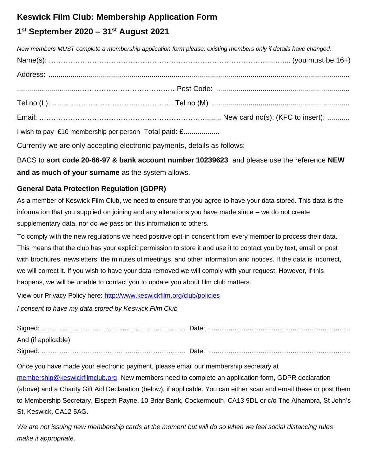## **Keswick Film Club: Membership Application Form**

# **1 st September 2020 – 31 st August 2021**

*New members MUST complete a membership application form please; existing members only if details have changed*. Name(s): ……………………………………………………………………………….....….... (you must be 16+) Address: ..................................................................................................................................................... ..............................…………….………………….… Post Code: .................................................................. Tel no (L): ……………………………..……………. Tel no (M): .................................................................... Email: ……………………………………………………………........ New card no(s): (KFC to insert): ...........

I wish to pay £10 membership per person Total paid: £..................

Currently we are only accepting electronic payments, details as follows:

BACS to **sort code 20-66-97 & bank account number 10239623** and please use the reference **NEW and as much of your surname** as the system allows.

### **General Data Protection Regulation (GDPR)**

As a member of Keswick Film Club, we need to ensure that you agree to have your data stored. This data is the information that you supplied on joining and any alterations you have made since – we do not create supplementary data, nor do we pass on this information to others.

To comply with the new regulations we need positive opt-in consent from every member to process their data. This means that the club has your explicit permission to store it and use it to contact you by text, email or post with brochures, newsletters, the minutes of meetings, and other information and notices. If the data is incorrect, we will correct it. If you wish to have your data removed we will comply with your request. However, if this happens, we will be unable to contact you to update you about film club matters.

View our Privacy Policy here: <http://www.keswickfilm.org/club/policies>

*I consent to have my data stored by Keswick Film Club*

| And (if applicable) |  |
|---------------------|--|
|                     |  |

Once you have made your electronic payment, please email our membership secretary at [membership@keswickfilmclub.org.](mailto:membership@keswickfilmclub.org) New members need to complete an application form, GDPR declaration (above) and a Charity Gift Aid Declaration (below), if applicable. You can either scan and email these or post them to Membership Secretary, Elspeth Payne, 10 Briar Bank, Cockermouth, CA13 9DL or c/o The Alhambra, St John's St, Keswick, CA12 5AG.

*We are not issuing new membership cards at the moment but will do so when we feel social distancing rules make it appropriate.*